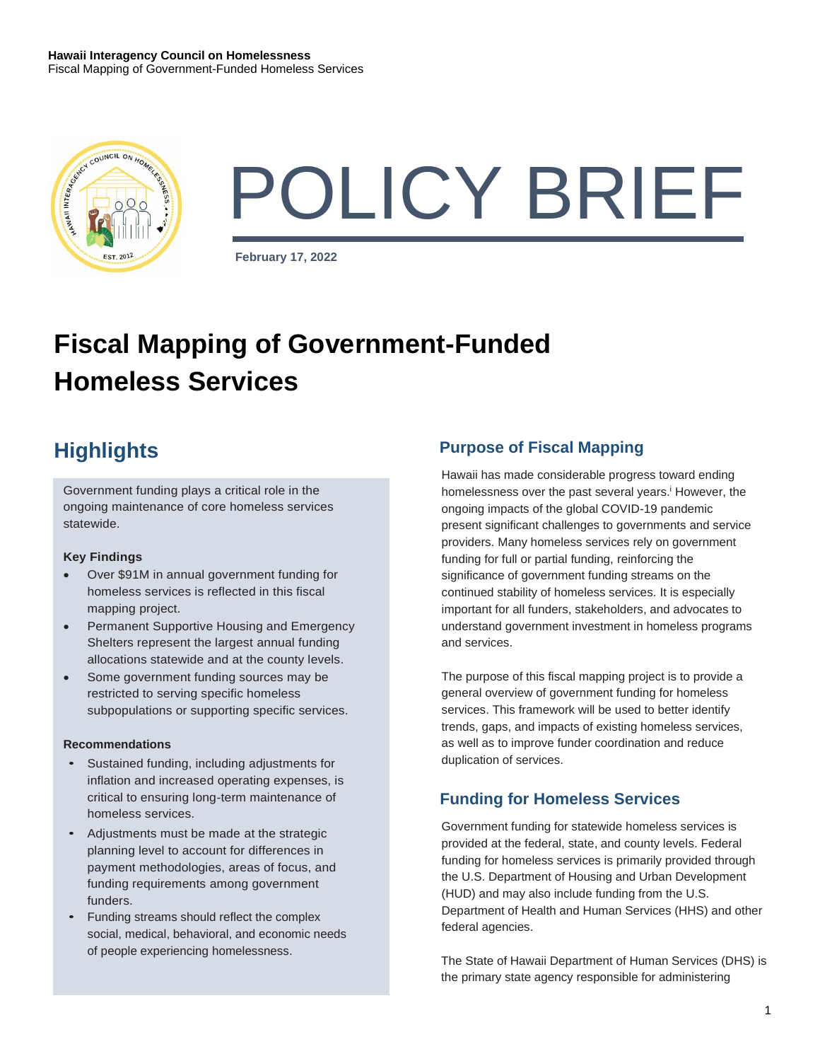

# POLICY BRIEF

**February 17, 2022**

## **Fiscal Mapping of Government-Funded Homeless Services**

Government funding plays a critical role in the ongoing maintenance of core homeless services statewide.

#### **Key Findings**

- Over \$91M in annual government funding for homeless services is reflected in this fiscal mapping project.
- Permanent Supportive Housing and Emergency Shelters represent the largest annual funding allocations statewide and at the county levels.
- Some government funding sources may be restricted to serving specific homeless subpopulations or supporting specific services.

#### **Recommendations**

- Sustained funding, including adjustments for inflation and increased operating expenses, is critical to ensuring long-term maintenance of homeless services.
- Adjustments must be made at the strategic planning level to account for differences in payment methodologies, areas of focus, and funding requirements among government funders.
- Funding streams should reflect the complex social, medical, behavioral, and economic needs of people experiencing homelessness.

## **Highlights Purpose of Fiscal Mapping**

Hawaii has made considerable progress toward ending homelessness over the past several years.<sup>i</sup> However, the ongoing impacts of the global COVID-19 pandemic present significant challenges to governments and service providers. Many homeless services rely on government funding for full or partial funding, reinforcing the significance of government funding streams on the continued stability of homeless services. It is especially important for all funders, stakeholders, and advocates to understand government investment in homeless programs and services.

The purpose of this fiscal mapping project is to provide a general overview of government funding for homeless services. This framework will be used to better identify trends, gaps, and impacts of existing homeless services, as well as to improve funder coordination and reduce duplication of services.

### **Funding for Homeless Services**

Government funding for statewide homeless services is provided at the federal, state, and county levels. Federal funding for homeless services is primarily provided through the U.S. Department of Housing and Urban Development (HUD) and may also include funding from the U.S. Department of Health and Human Services (HHS) and other federal agencies.

The State of Hawaii Department of Human Services (DHS) is the primary state agency responsible for administering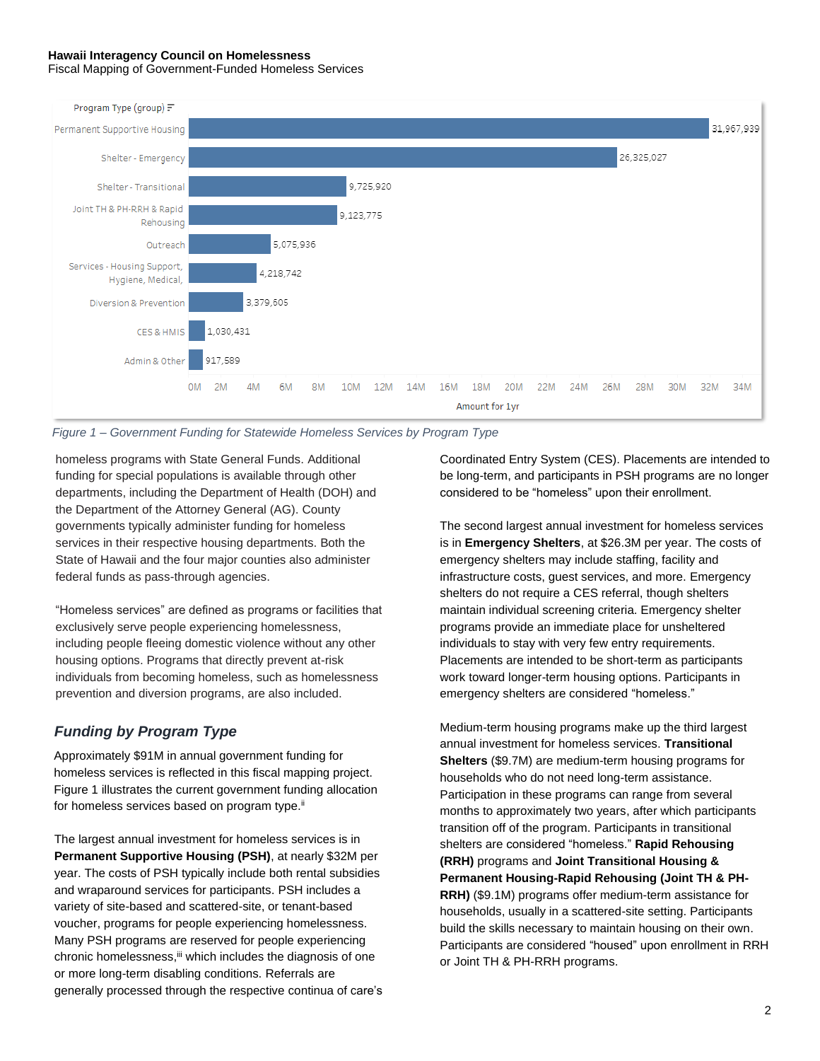#### **Hawaii Interagency Council on Homelessness** Fiscal Mapping of Government-Funded Homeless Services



#### *Figure 1 – Government Funding for Statewide Homeless Services by Program Type*

homeless programs with State General Funds. Additional funding for special populations is available through other departments, including the Department of Health (DOH) and the Department of the Attorney General (AG). County governments typically administer funding for homeless services in their respective housing departments. Both the State of Hawaii and the four major counties also administer federal funds as pass-through agencies.

"Homeless services" are defined as programs or facilities that exclusively serve people experiencing homelessness, including people fleeing domestic violence without any other housing options. Programs that directly prevent at-risk individuals from becoming homeless, such as homelessness prevention and diversion programs, are also included.

#### *Funding by Program Type*

Approximately \$91M in annual government funding for homeless services is reflected in this fiscal mapping project. Figure 1 illustrates the current government funding allocation for homeless services based on program type.<sup>ii</sup>

The largest annual investment for homeless services is in **Permanent Supportive Housing (PSH)**, at nearly \$32M per year. The costs of PSH typically include both rental subsidies and wraparound services for participants. PSH includes a variety of site-based and scattered-site, or tenant-based voucher, programs for people experiencing homelessness. Many PSH programs are reserved for people experiencing chronic homelessness, iii which includes the diagnosis of one or more long-term disabling conditions. Referrals are generally processed through the respective continua of care's Coordinated Entry System (CES). Placements are intended to be long-term, and participants in PSH programs are no longer considered to be "homeless" upon their enrollment.

The second largest annual investment for homeless services is in **Emergency Shelters**, at \$26.3M per year. The costs of emergency shelters may include staffing, facility and infrastructure costs, guest services, and more. Emergency shelters do not require a CES referral, though shelters maintain individual screening criteria. Emergency shelter programs provide an immediate place for unsheltered individuals to stay with very few entry requirements. Placements are intended to be short-term as participants work toward longer-term housing options. Participants in emergency shelters are considered "homeless."

Medium-term housing programs make up the third largest annual investment for homeless services. **Transitional Shelters** (\$9.7M) are medium-term housing programs for households who do not need long-term assistance. Participation in these programs can range from several months to approximately two years, after which participants transition off of the program. Participants in transitional shelters are considered "homeless." **Rapid Rehousing (RRH)** programs and **Joint Transitional Housing & Permanent Housing-Rapid Rehousing (Joint TH & PH-RRH)** (\$9.1M) programs offer medium-term assistance for households, usually in a scattered-site setting. Participants build the skills necessary to maintain housing on their own. Participants are considered "housed" upon enrollment in RRH or Joint TH & PH-RRH programs.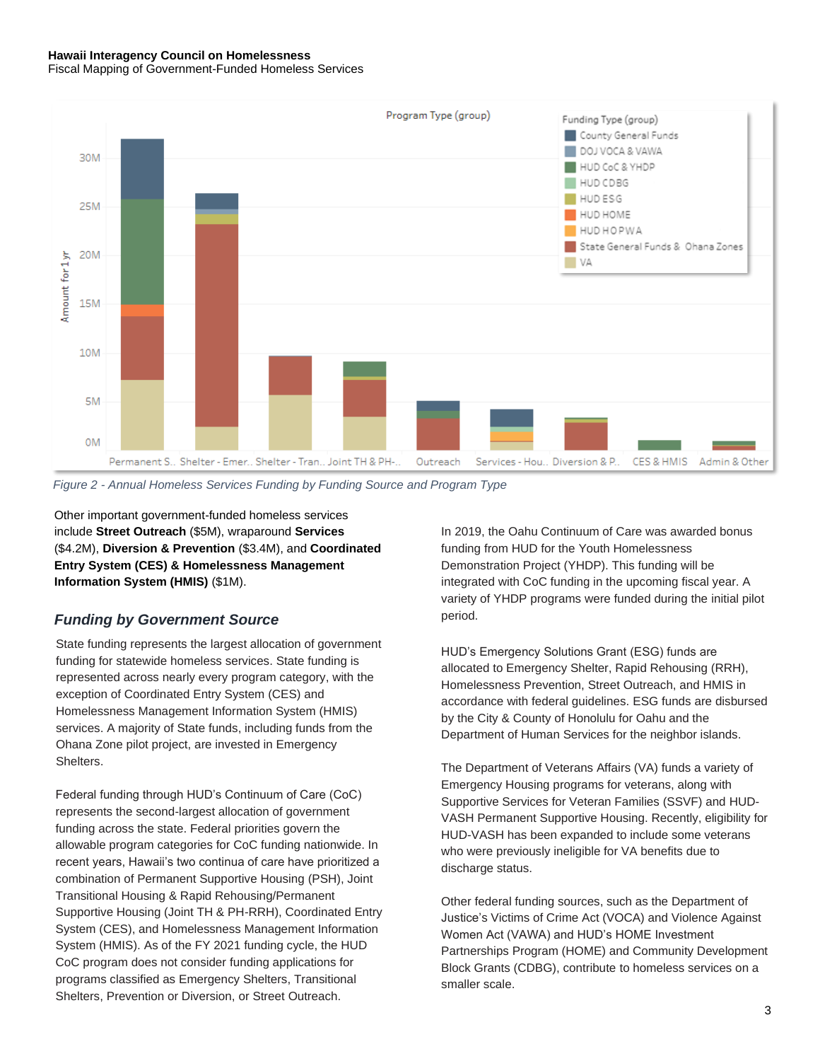#### **Hawaii Interagency Council on Homelessness** Fiscal Mapping of Government-Funded Homeless Services



*Figure 2 - Annual Homeless Services Funding by Funding Source and Program Type*

Other important government-funded homeless services include **Street Outreach** (\$5M), wraparound **Services**  (\$4.2M), **Diversion & Prevention** (\$3.4M), and **Coordinated Entry System (CES) & Homelessness Management Information System (HMIS)** (\$1M).

#### *Funding by Government Source*

State funding represents the largest allocation of government funding for statewide homeless services. State funding is represented across nearly every program category, with the exception of Coordinated Entry System (CES) and Homelessness Management Information System (HMIS) services. A majority of State funds, including funds from the Ohana Zone pilot project, are invested in Emergency Shelters.

Federal funding through HUD's Continuum of Care (CoC) represents the second-largest allocation of government funding across the state. Federal priorities govern the allowable program categories for CoC funding nationwide. In recent years, Hawaii's two continua of care have prioritized a combination of Permanent Supportive Housing (PSH), Joint Transitional Housing & Rapid Rehousing/Permanent Supportive Housing (Joint TH & PH-RRH), Coordinated Entry System (CES), and Homelessness Management Information System (HMIS). As of the FY 2021 funding cycle, the HUD CoC program does not consider funding applications for programs classified as Emergency Shelters, Transitional Shelters, Prevention or Diversion, or Street Outreach.

In 2019, the Oahu Continuum of Care was awarded bonus funding from HUD for the Youth Homelessness Demonstration Project (YHDP). This funding will be integrated with CoC funding in the upcoming fiscal year. A variety of YHDP programs were funded during the initial pilot period.

HUD's Emergency Solutions Grant (ESG) funds are allocated to Emergency Shelter, Rapid Rehousing (RRH), Homelessness Prevention, Street Outreach, and HMIS in accordance with federal guidelines. ESG funds are disbursed by the City & County of Honolulu for Oahu and the Department of Human Services for the neighbor islands.

The Department of Veterans Affairs (VA) funds a variety of Emergency Housing programs for veterans, along with Supportive Services for Veteran Families (SSVF) and HUD-VASH Permanent Supportive Housing. Recently, eligibility for HUD-VASH has been expanded to include some veterans who were previously ineligible for VA benefits due to discharge status.

Other federal funding sources, such as the Department of Justice's Victims of Crime Act (VOCA) and Violence Against Women Act (VAWA) and HUD's HOME Investment Partnerships Program (HOME) and Community Development Block Grants (CDBG), contribute to homeless services on a smaller scale.